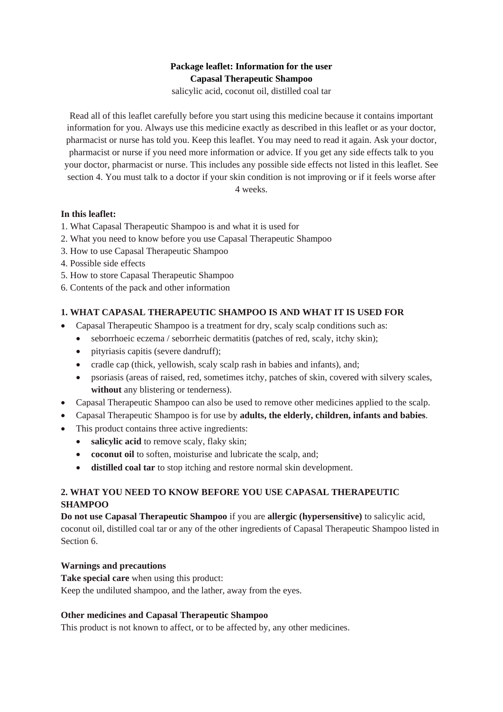# **Package leaflet: Information for the user Capasal Therapeutic Shampoo**

salicylic acid, coconut oil, distilled coal tar

Read all of this leaflet carefully before you start using this medicine because it contains important information for you. Always use this medicine exactly as described in this leaflet or as your doctor, pharmacist or nurse has told you. Keep this leaflet. You may need to read it again. Ask your doctor, pharmacist or nurse if you need more information or advice. If you get any side effects talk to you your doctor, pharmacist or nurse. This includes any possible side effects not listed in this leaflet. See section 4. You must talk to a doctor if your skin condition is not improving or if it feels worse after

4 weeks.

## **In this leaflet:**

- 1. What Capasal Therapeutic Shampoo is and what it is used for
- 2. What you need to know before you use Capasal Therapeutic Shampoo
- 3. How to use Capasal Therapeutic Shampoo
- 4. Possible side effects
- 5. How to store Capasal Therapeutic Shampoo
- 6. Contents of the pack and other information

# **1. WHAT CAPASAL THERAPEUTIC SHAMPOO IS AND WHAT IT IS USED FOR**

- Capasal Therapeutic Shampoo is a treatment for dry, scaly scalp conditions such as:
	- seborrhoeic eczema / seborrheic dermatitis (patches of red, scaly, itchy skin);
		- pityriasis capitis (severe dandruff);
		- cradle cap (thick, yellowish, scaly scalp rash in babies and infants), and;
		- psoriasis (areas of raised, red, sometimes itchy, patches of skin, covered with silvery scales, **without** any blistering or tenderness).
- Capasal Therapeutic Shampoo can also be used to remove other medicines applied to the scalp.
- Capasal Therapeutic Shampoo is for use by **adults, the elderly, children, infants and babies**.
- This product contains three active ingredients:
	- **salicylic acid** to remove scaly, flaky skin;
	- **coconut oil** to soften, moisturise and lubricate the scalp, and;
	- **distilled coal tar** to stop itching and restore normal skin development.

# **2. WHAT YOU NEED TO KNOW BEFORE YOU USE CAPASAL THERAPEUTIC SHAMPOO**

**Do not use Capasal Therapeutic Shampoo** if you are **allergic (hypersensitive)** to salicylic acid, coconut oil, distilled coal tar or any of the other ingredients of Capasal Therapeutic Shampoo listed in Section 6.

## **Warnings and precautions**

**Take special care** when using this product: Keep the undiluted shampoo, and the lather, away from the eyes.

## **Other medicines and Capasal Therapeutic Shampoo**

This product is not known to affect, or to be affected by, any other medicines.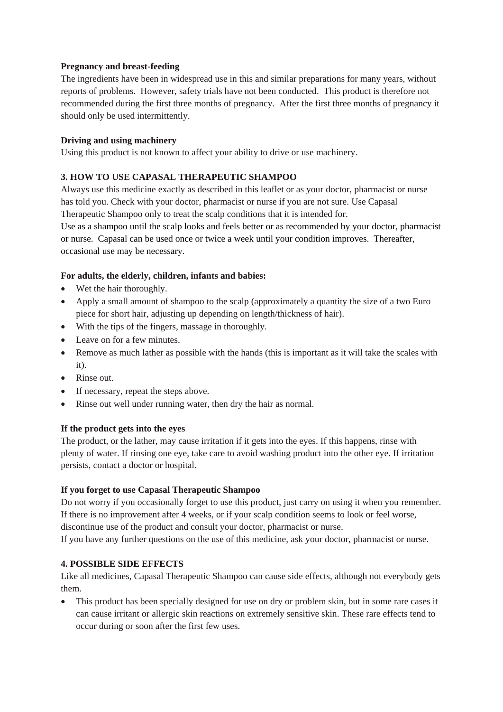### **Pregnancy and breast-feeding**

The ingredients have been in widespread use in this and similar preparations for many years, without reports of problems. However, safety trials have not been conducted. This product is therefore not recommended during the first three months of pregnancy. After the first three months of pregnancy it should only be used intermittently.

### **Driving and using machinery**

Using this product is not known to affect your ability to drive or use machinery.

## **3. HOW TO USE CAPASAL THERAPEUTIC SHAMPOO**

Always use this medicine exactly as described in this leaflet or as your doctor, pharmacist or nurse has told you. Check with your doctor, pharmacist or nurse if you are not sure. Use Capasal Therapeutic Shampoo only to treat the scalp conditions that it is intended for.

Use as a shampoo until the scalp looks and feels better or as recommended by your doctor, pharmacist or nurse. Capasal can be used once or twice a week until your condition improves. Thereafter, occasional use may be necessary.

### **For adults, the elderly, children, infants and babies:**

- Wet the hair thoroughly.
- Apply a small amount of shampoo to the scalp (approximately a quantity the size of a two Euro piece for short hair, adjusting up depending on length/thickness of hair).
- With the tips of the fingers, massage in thoroughly.
- Leave on for a few minutes.
- Remove as much lather as possible with the hands (this is important as it will take the scales with it).
- Rinse out.
- If necessary, repeat the steps above.
- Rinse out well under running water, then dry the hair as normal.

#### **If the product gets into the eyes**

The product, or the lather, may cause irritation if it gets into the eyes. If this happens, rinse with plenty of water. If rinsing one eye, take care to avoid washing product into the other eye. If irritation persists, contact a doctor or hospital.

#### **If you forget to use Capasal Therapeutic Shampoo**

Do not worry if you occasionally forget to use this product, just carry on using it when you remember. If there is no improvement after 4 weeks, or if your scalp condition seems to look or feel worse, discontinue use of the product and consult your doctor, pharmacist or nurse.

If you have any further questions on the use of this medicine, ask your doctor, pharmacist or nurse.

## **4. POSSIBLE SIDE EFFECTS**

Like all medicines, Capasal Therapeutic Shampoo can cause side effects, although not everybody gets them.

 This product has been specially designed for use on dry or problem skin, but in some rare cases it can cause irritant or allergic skin reactions on extremely sensitive skin. These rare effects tend to occur during or soon after the first few uses.